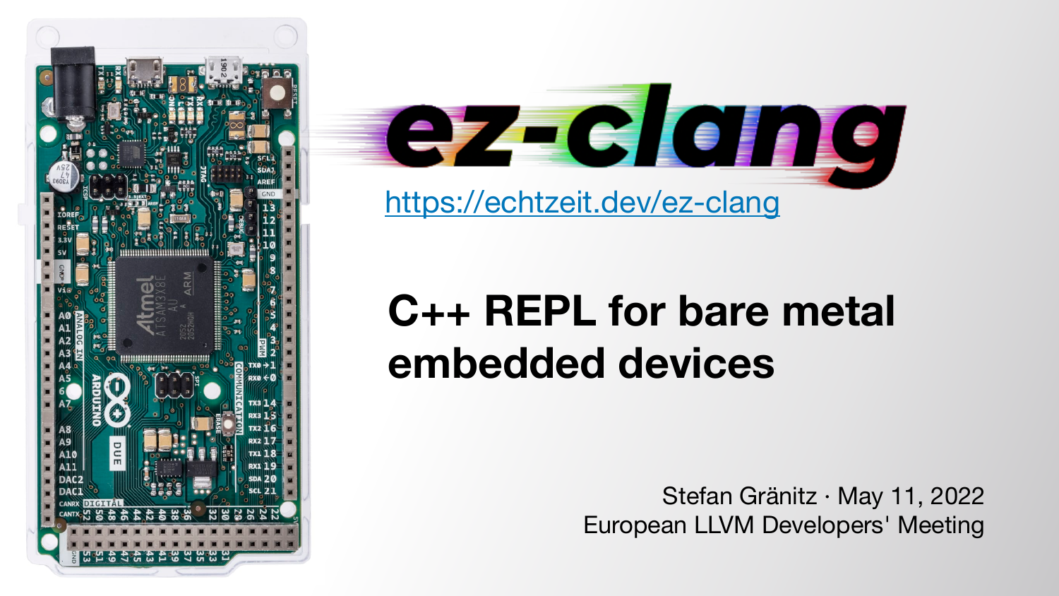Stefan Gränitz · May 11, 2022 European LLVM Developers' Meeting



# **C++ REPL for bare metal embedded devices**

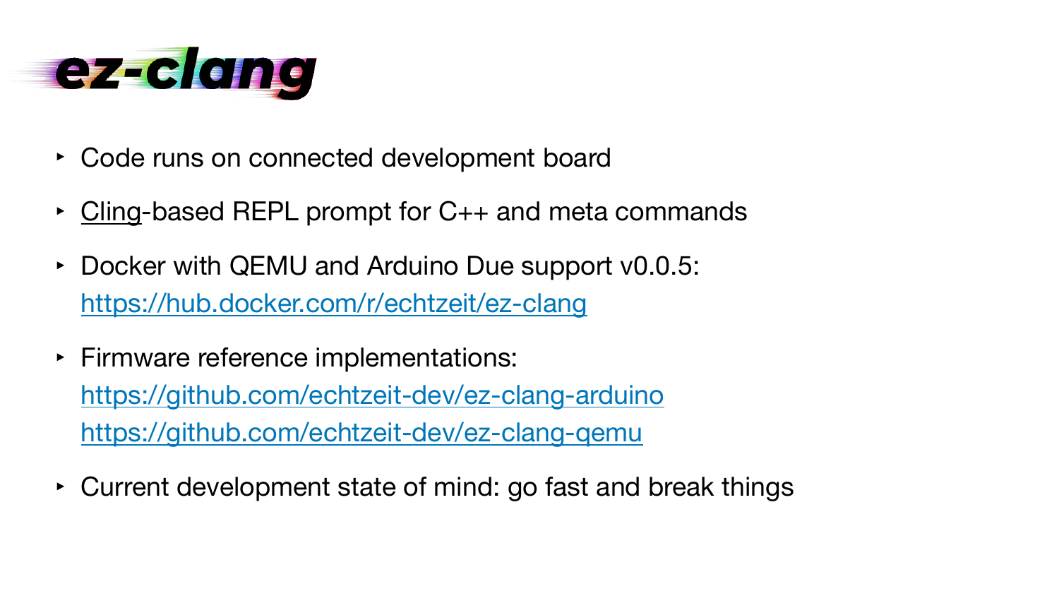

- ‣ Code runs on connected development board
- ‣ [Cling](https://github.com/root-project/cling)-based REPL prompt for C++ and meta commands
- ‣ Docker with QEMU and Arduino Due support v0.0.5: <https://hub.docker.com/r/echtzeit/ez-clang>
- ‣ Firmware reference implementations: <https://github.com/echtzeit-dev/ez-clang-arduino> https://github.com/echtzeit-dev/ez-clang-gemu
- ‣ Current development state of mind: go fast and break things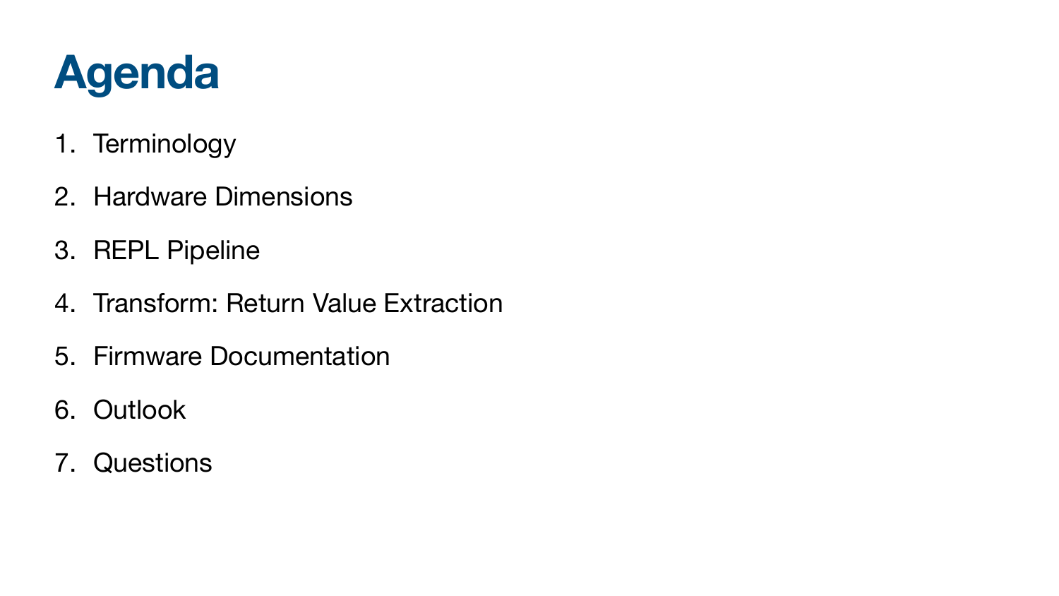

- 1. Terminology
- 2. Hardware Dimensions
- 3. REPL Pipeline
- 4. Transform: Return Value Extraction
- 5. Firmware Documentation
- 6. Outlook
- 7. Questions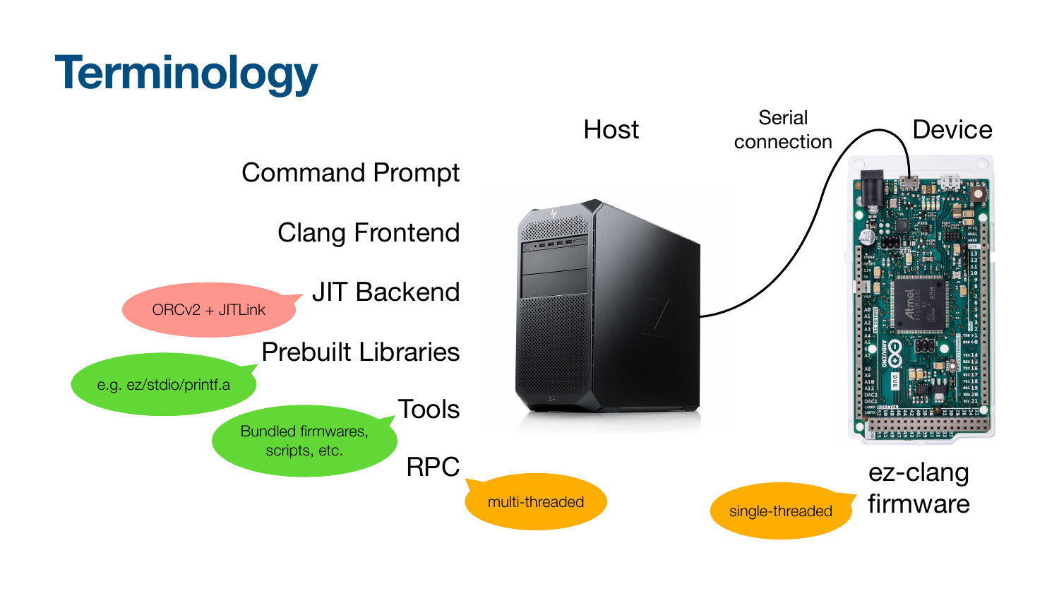# **Terminology**

### Command Prompt

### Clang Frontend

JIT Backend

ORCv2 + JITLink

Prebuilt Libraries

Tools



e.g. ez/stdio/printf.a

Bundled firmwares, scripts, etc.

RPC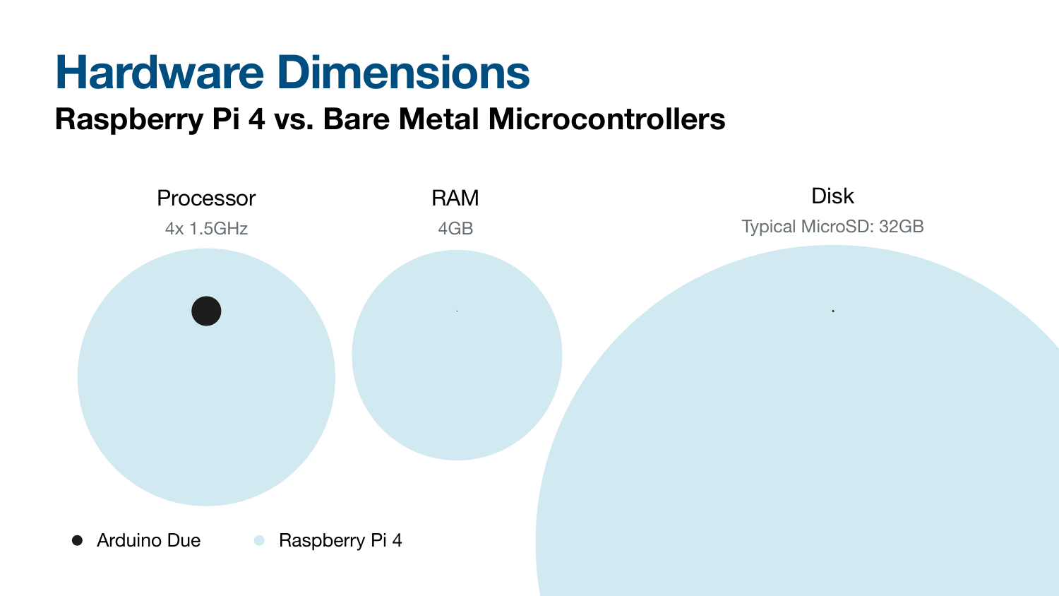

### Processor RAM Disk 4x 1.5GHz 4GB Typical MicroSD: 32GB

## **Hardware Dimensions Raspberry Pi 4 vs. Bare Metal Microcontrollers**

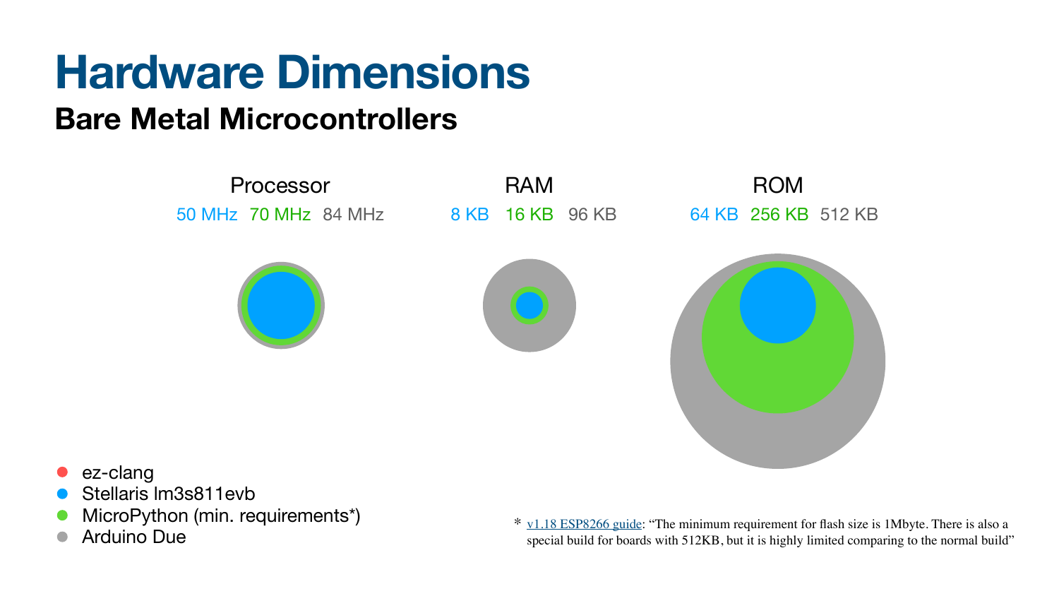- ez-clang
- Stellaris lm3s811evb
- MicroPython (min. requirements\*)
- Arduino Due







 $*$  <u>[v1.18 ESP8266 guide](https://docs.micropython.org/en/v1.18/esp8266/tutorial/intro.html)</u>: "The minimum requirement for flash size is 1Mbyte. There is also a special build for boards with 512KB, but it is highly limited comparing to the normal build"



## **Hardware Dimensions Bare Metal Microcontrollers**

### Processor RAM ROM 50 MHz 70 MHz 84 MHz 84 KB 16 KB 96 KB 64 KB 256 KB 512 KB

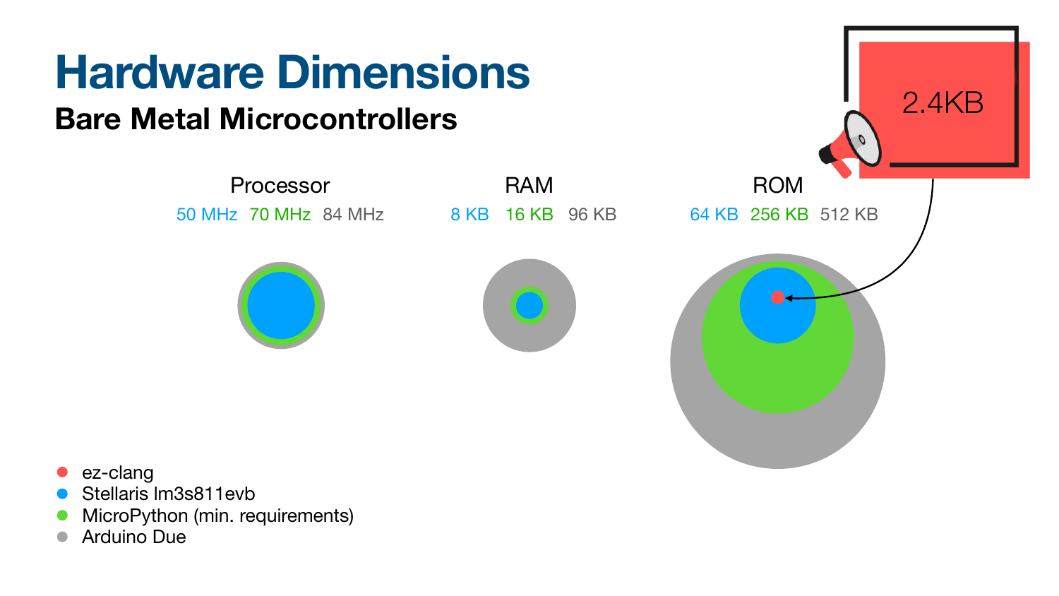- ez-clang
- Stellaris lm3s811evb
- MicroPython (min. requirements)
- Arduino Due

## **Hardware Dimensions Bare Metal Microcontrollers**





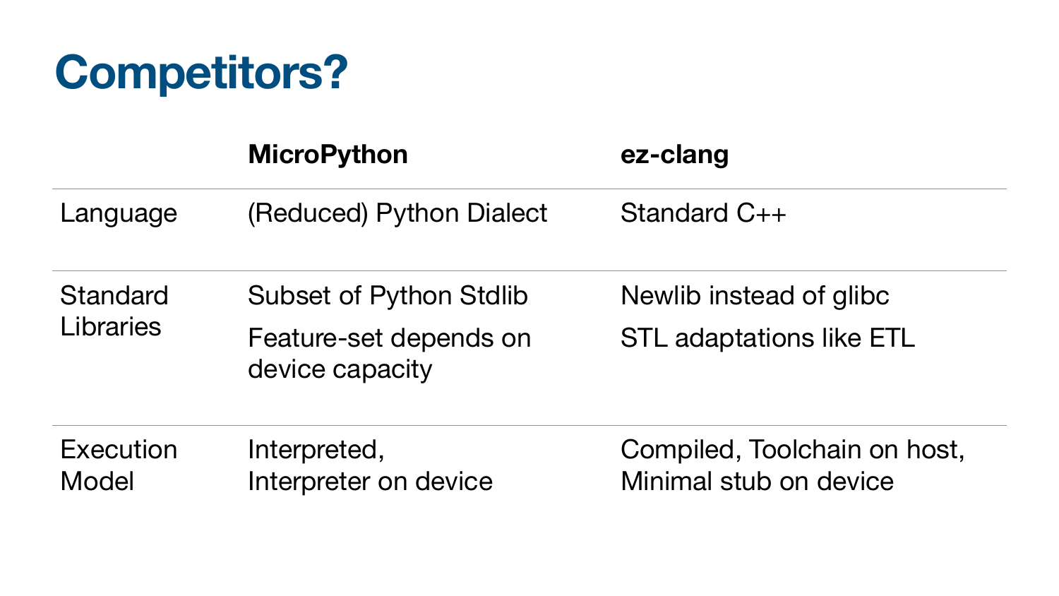## **Competitors?**

### **MicroPython ez-clang**

Language (Reduced) Python Dialect Standard C++

**Standard** Libraries

**Execution** Model

device capacity

Subset of Python Stdlib Feature-set depends on Newlib instead of glibc STL adaptations like ETL

Interpreted, Interpreter on device

### Compiled, Toolchain on host, Minimal stub on device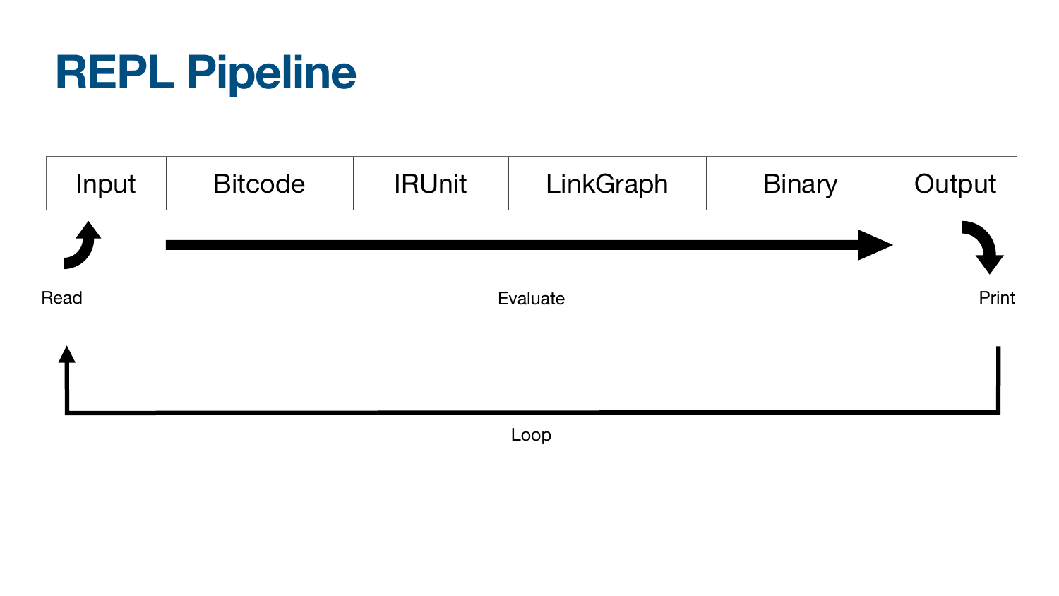# **REPL Pipeline**



Loop



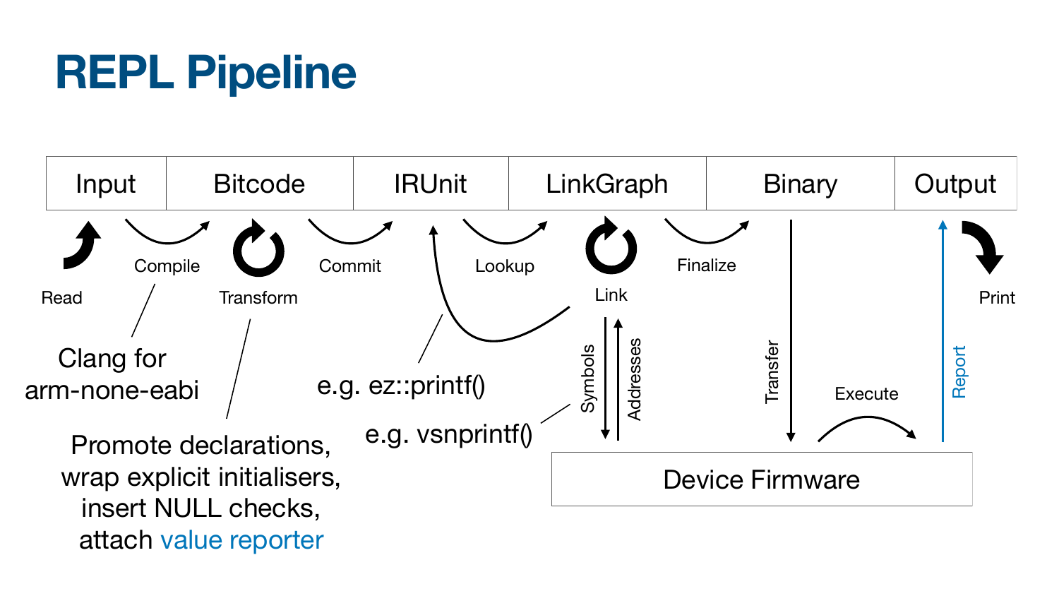# **REPL Pipeline**



insert NULL checks, attach value reporter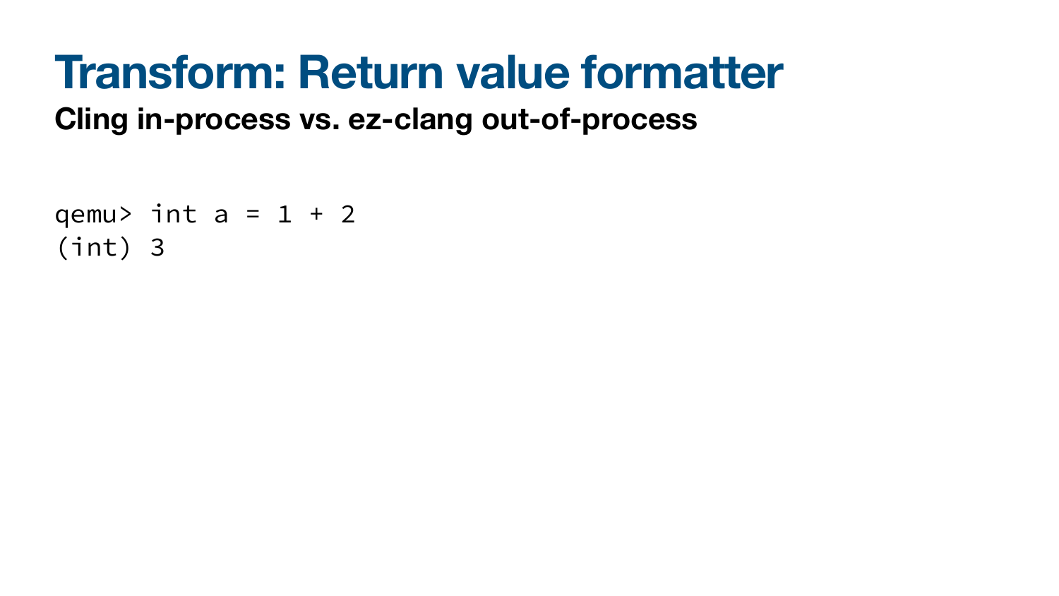### **Transform: Return value formatter Cling in-process vs. ez-clang out-of-process**

qemu> int  $a = 1 + 2$ (int) 3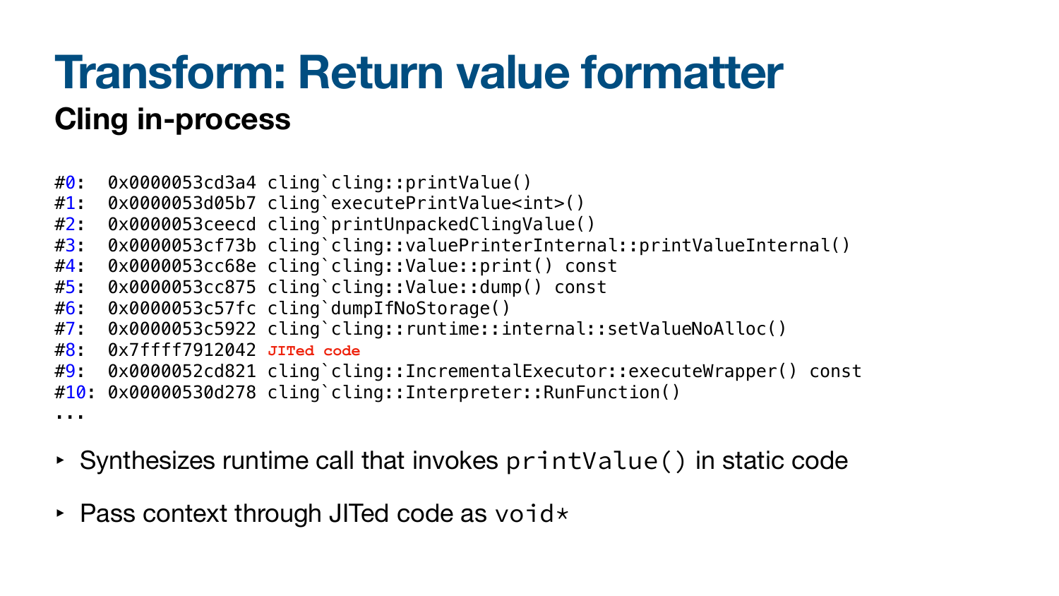## **Transform: Return value formatter Cling in-process**

- #0: 0x0000053cd3a4 cling`cling::printValue() #1: 0x0000053d05b7 cling`executePrintValue<int>() #2: 0x0000053ceecd cling`printUnpackedClingValue() #3: 0x0000053cf73b cling`cling::valuePrinterInternal::printValueInternal() #4: 0x0000053cc68e cling`cling::Value::print() const #5: 0x0000053cc875 cling`cling::Value::dump() const #6: 0x0000053c57fc cling`dumpIfNoStorage() #7: 0x0000053c5922 cling`cling::runtime::internal::setValueNoAlloc() #8: 0x7ffff7912042 **JITed code**#9: 0x0000052cd821 cling`cling::IncrementalExecutor::executeWrapper() const #10: 0x00000530d278 cling`cling::Interpreter::RunFunction() ...
- ‣ Synthesizes runtime call that invokes printValue() in static code
- $\triangleright$  Pass context through JITed code as void  $\star$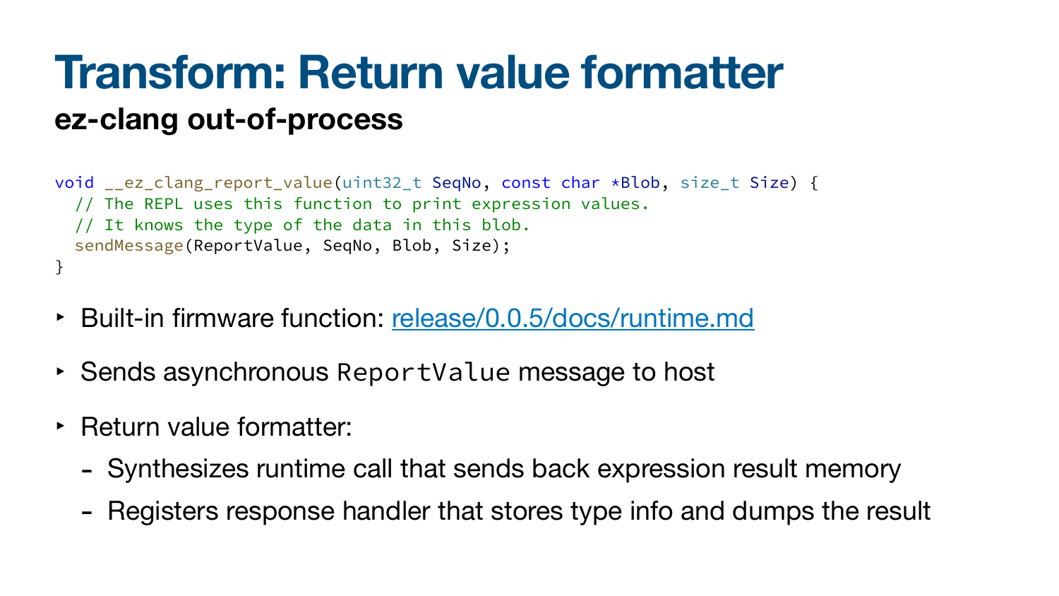- void \_\_ez\_clang\_report\_value(uint32\_t SeqNo, const char \*Blob, size\_t Size) { // The REPL uses this function to print expression values. // It knows the type of the data in this blob. sendMessage(ReportValue, SeqNo, Blob, Size); }
- ‣ Built-in firmware function: [release/0.0.5/docs/runtime.md](https://github.com/echtzeit-dev/ez-clang/blob/main/release/0.0.5/docs/runtime.md#__ez_clang_report_value)
- ‣ Sends asynchronous ReportValue message to host
- ‣ Return value formatter:
	-
	- Synthesizes runtime call that sends back expression result memory - Registers response handler that stores type info and dumps the result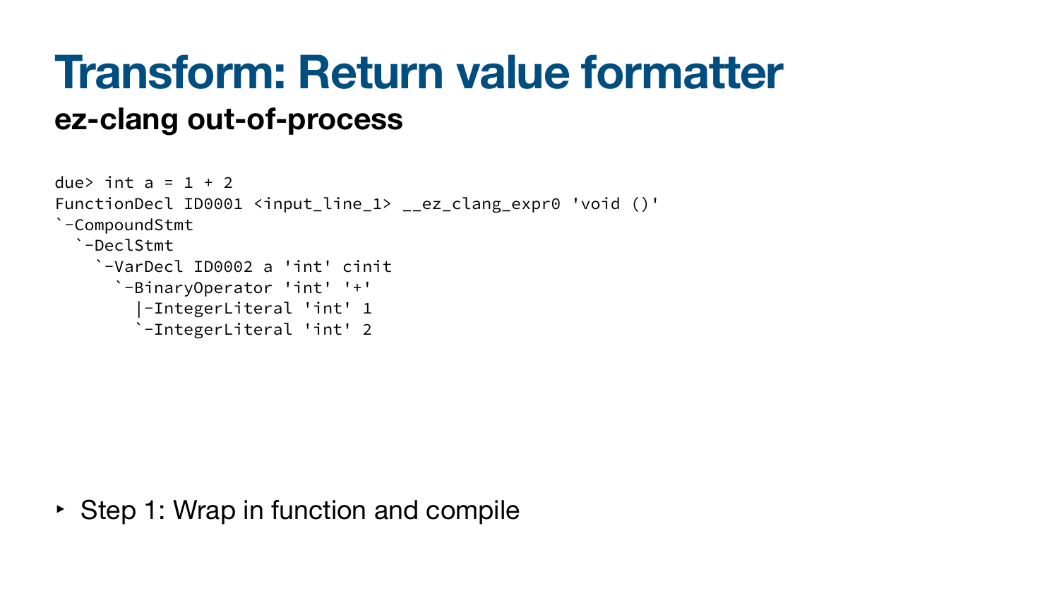due> int  $a = 1 + 2$ FunctionDecl ID0001 <input\_line\_1> \_\_ez\_clang\_expr0 'void ()' `-CompoundStmt `-DeclStmt `-VarDecl ID0002 a 'int' cinit `-BinaryOperator 'int' '+' |-IntegerLiteral 'int' 1 `-IntegerLiteral 'int' 2

‣ Step 1: Wrap in function and compile

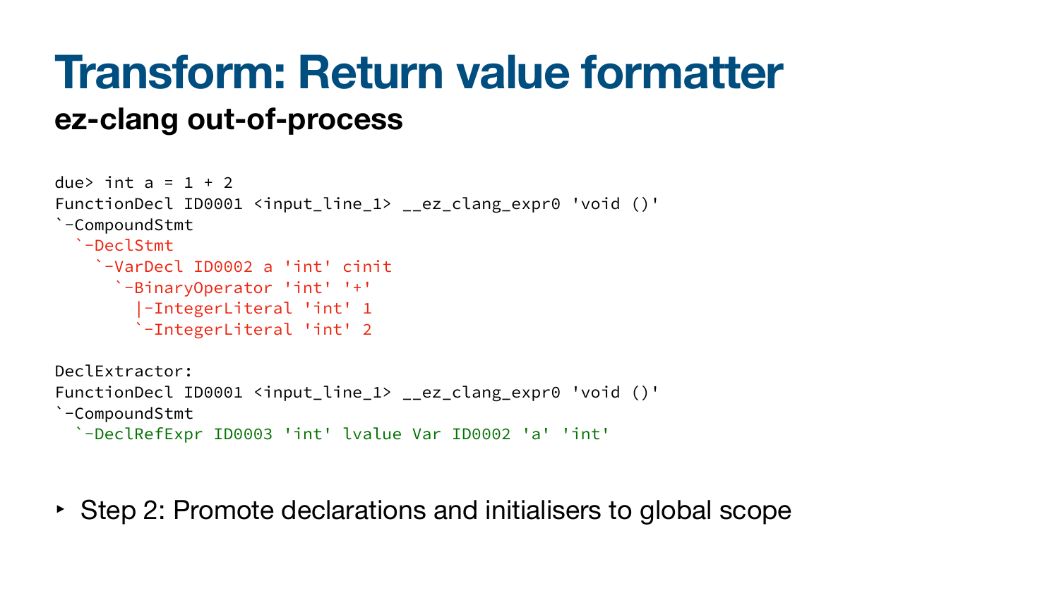due> int  $a = 1 + 2$ FunctionDecl ID0001 <input\_line\_1> \_\_ez\_clang\_expr0 'void ()' `-CompoundStmt `-DeclStmt `-VarDecl ID0002 a 'int' cinit `-BinaryOperator 'int' '+' |-IntegerLiteral 'int' 1 `-IntegerLiteral 'int' 2

DeclExtractor:

FunctionDecl ID0001 <input\_line\_1> \_\_ez\_clang\_expr0 'void ()'

`-CompoundStmt

`-DeclRefExpr ID0003 'int' lvalue Var ID0002 'a' 'int'

‣ Step 2: Promote declarations and initialisers to global scope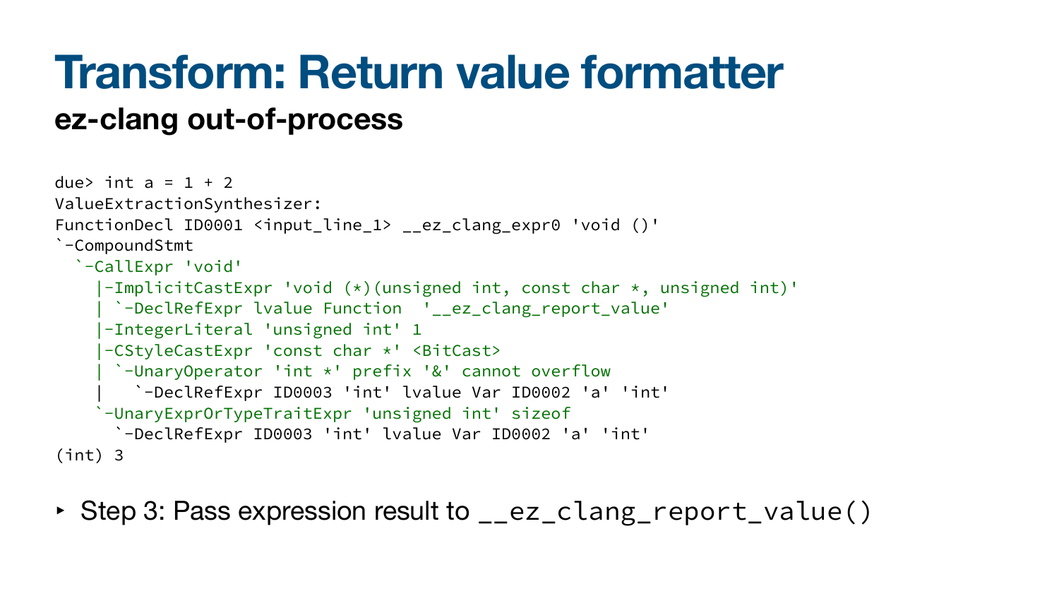due> int  $a = 1 + 2$ ValueExtractionSynthesizer: FunctionDecl ID0001 <input\_line\_1> \_\_ez\_clang\_expr0 'void ()' `-CompoundStmt `-CallExpr 'void' |-ImplicitCastExpr 'void (\*)(unsigned int, const char \*, unsigned int)' | `-DeclRefExpr lvalue Function '\_\_ez\_clang\_report\_value' |-IntegerLiteral 'unsigned int' 1 |-CStyleCastExpr 'const char \*' <BitCast> | `-UnaryOperator 'int \*' prefix '&' cannot overflow | `-DeclRefExpr ID0003 'int' lvalue Var ID0002 'a' 'int' `-UnaryExprOrTypeTraitExpr 'unsigned int' sizeof `-DeclRefExpr ID0003 'int' lvalue Var ID0002 'a' 'int' (int) 3

• Step 3: Pass expression result to \_\_ez\_clang\_report\_value()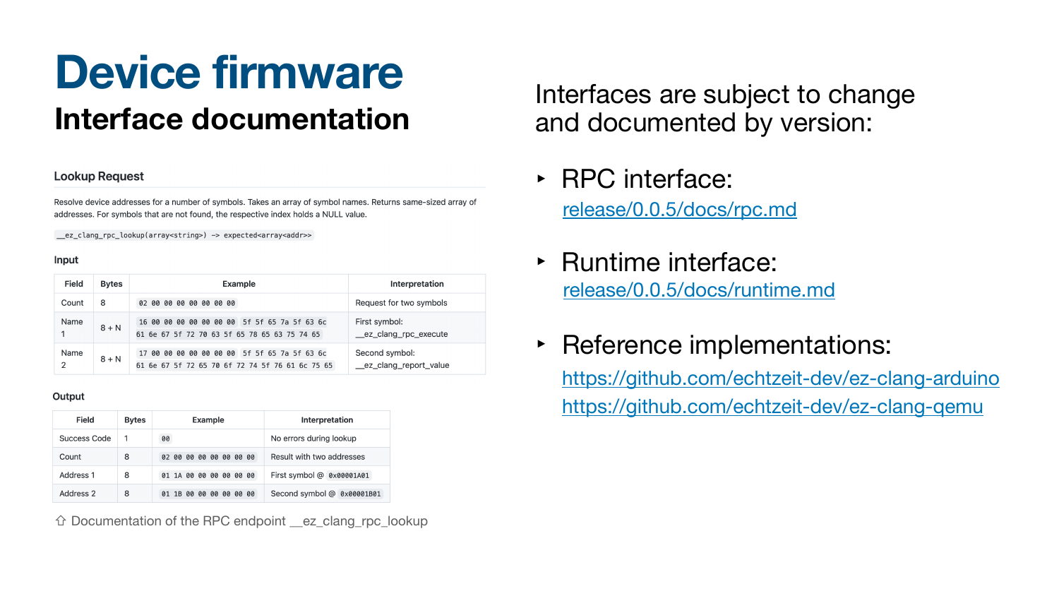## **Device firmware Interface documentation**

### **Lookup Request**

Resolve device addresses for a number of symbols. Takes an array of symbol names. Returns same-sized array of addresses. For symbols that are not found, the respective index holds a NULL value.

\_\_ez\_clang\_rpc\_lookup(array<string>) -> expected<array<addr>>

### **Input**

| <b>Field</b>                  | <b>Bytes</b> | <b>Example</b>                                                                                  | <b>Interpretation</b>                    |
|-------------------------------|--------------|-------------------------------------------------------------------------------------------------|------------------------------------------|
| Count                         | 8            | 02 00 00 00 00 00 00 00                                                                         | Request for two symbols                  |
| <b>Name</b>                   | $8 + N$      | 16 00 00 00 00 00 00 00 5f 5f 65 7a 5f 63 6c<br>61 6e 67 5f 72 70 63 5f 65 78 65 63 75 74 65    | First symbol:<br>__ez_clang_rpc_execute  |
| <b>Name</b><br>$\overline{2}$ | $8 + N$      | 17 00 00 00 00 00 00 00 5f 5f 65 7a 5f 63 6c<br>61 6e 67 5f 72 65 70 6f 72 74 5f 76 61 6c 75 65 | Second symbol:<br>_ez_clang_report_value |

### Output

| <b>Field</b>        | <b>Bytes</b> | <b>Example</b>                | <b>Interpretation</b>      |
|---------------------|--------------|-------------------------------|----------------------------|
| <b>Success Code</b> |              | 00                            | No errors during lookup    |
| Count               | 8            | 00 00 00 00 00 00<br>00<br>02 | Result with two addresses  |
| <b>Address 1</b>    | 8            | 01 1A 00 00 00 00 00 00       | First symbol @ 0x00001A01  |
| Address 2           | 8            | 1B 00 00 00 00 00 00          | Second symbol @ 0x00001B01 |

Interfaces are subject to change and documented by version:

- [release/0.0.5/docs/rpc.md](https://github.com/echtzeit-dev/ez-clang/blob/main/release/0.0.5/docs/rpc.md) ‣ RPC interface:
- [release/0.0.5/docs/runtime.md](https://github.com/echtzeit-dev/ez-clang/blob/main/release/0.0.5/docs/runtime.md) ‣ Runtime interface:
- ‣ Reference implementations: <https://github.com/echtzeit-dev/ez-clang-arduino> <https://github.com/echtzeit-dev/ez-clang-qemu>



⇧ [Documentation of the RPC endpoint \\_\\_ez\\_clang\\_rpc\\_lookup](https://github.com/echtzeit-dev/ez-clang/blob/main/release/0.0.5/docs/rpc.md#lookup-request)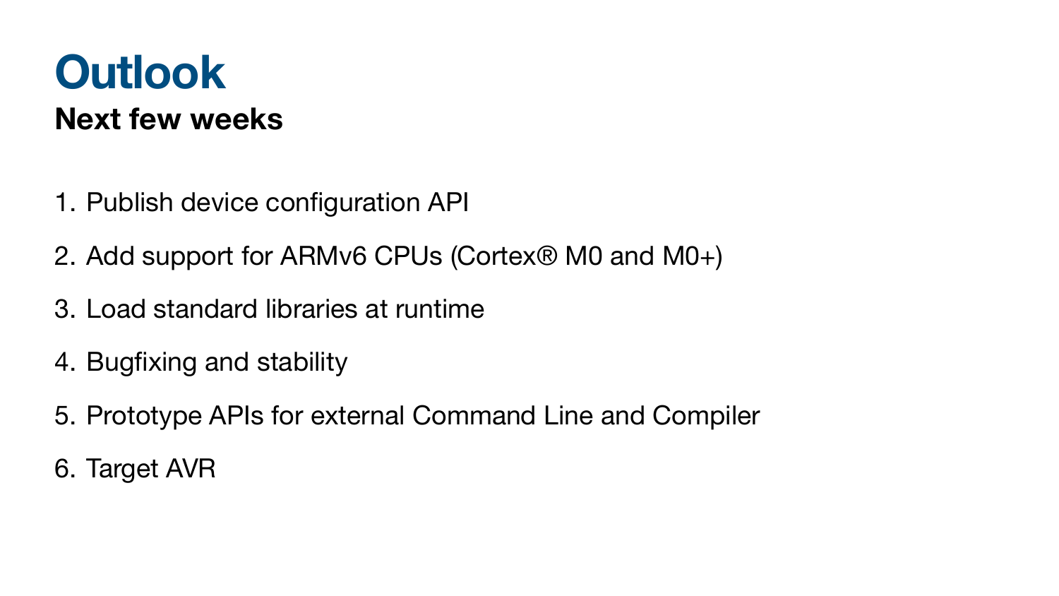## **Outlook Next few weeks**

- 1. Publish device configuration API
- 2. Add support for ARMv6 CPUs (Cortex® M0 and M0+)
- 3. Load standard libraries at runtime
- 4. Bugfixing and stability
- 5. Prototype APIs for external Command Line and Compiler
- 6. Target AVR